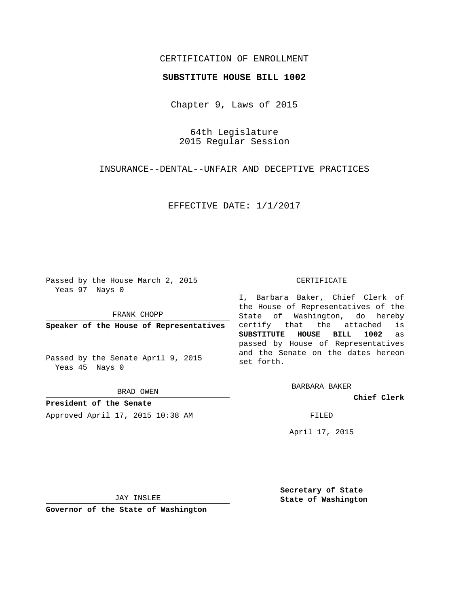## CERTIFICATION OF ENROLLMENT

## **SUBSTITUTE HOUSE BILL 1002**

Chapter 9, Laws of 2015

64th Legislature 2015 Regular Session

INSURANCE--DENTAL--UNFAIR AND DECEPTIVE PRACTICES

EFFECTIVE DATE: 1/1/2017

Passed by the House March 2, 2015 Yeas 97 Nays 0

FRANK CHOPP

**Speaker of the House of Representatives**

Passed by the Senate April 9, 2015 Yeas 45 Nays 0

BRAD OWEN

**President of the Senate** Approved April 17, 2015 10:38 AM FILED

## CERTIFICATE

I, Barbara Baker, Chief Clerk of the House of Representatives of the State of Washington, do hereby certify that the attached is **SUBSTITUTE HOUSE BILL 1002** as passed by House of Representatives and the Senate on the dates hereon set forth.

BARBARA BAKER

**Chief Clerk**

April 17, 2015

JAY INSLEE

**Governor of the State of Washington**

**Secretary of State State of Washington**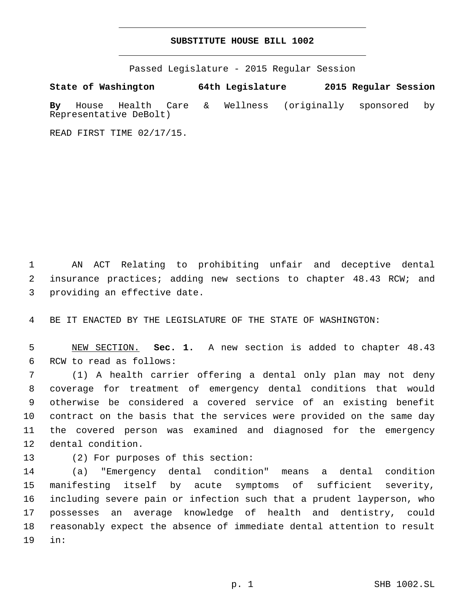## **SUBSTITUTE HOUSE BILL 1002**

Passed Legislature - 2015 Regular Session

**State of Washington 64th Legislature 2015 Regular Session By** House Health Care & Wellness (originally sponsored by Representative DeBolt)

READ FIRST TIME 02/17/15.

1 AN ACT Relating to prohibiting unfair and deceptive dental 2 insurance practices; adding new sections to chapter 48.43 RCW; and 3 providing an effective date.

4 BE IT ENACTED BY THE LEGISLATURE OF THE STATE OF WASHINGTON:

5 NEW SECTION. **Sec. 1.** A new section is added to chapter 48.43 6 RCW to read as follows:

 (1) A health carrier offering a dental only plan may not deny coverage for treatment of emergency dental conditions that would otherwise be considered a covered service of an existing benefit contract on the basis that the services were provided on the same day the covered person was examined and diagnosed for the emergency 12 dental condition.

13 (2) For purposes of this section:

 (a) "Emergency dental condition" means a dental condition manifesting itself by acute symptoms of sufficient severity, including severe pain or infection such that a prudent layperson, who possesses an average knowledge of health and dentistry, could reasonably expect the absence of immediate dental attention to result in:19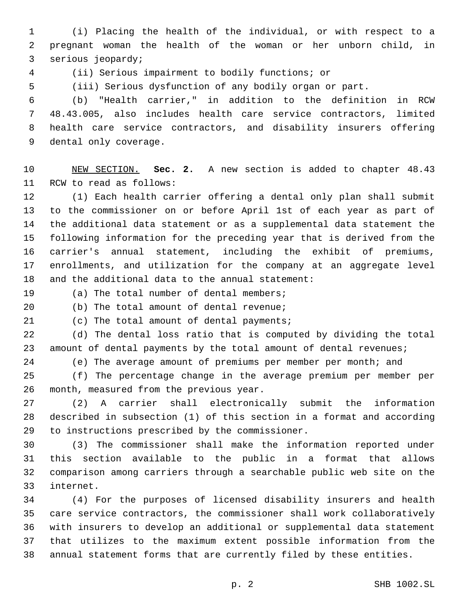(i) Placing the health of the individual, or with respect to a pregnant woman the health of the woman or her unborn child, in 3 serious jeopardy;

(ii) Serious impairment to bodily functions; or

(iii) Serious dysfunction of any bodily organ or part.

 (b) "Health carrier," in addition to the definition in RCW 48.43.005, also includes health care service contractors, limited health care service contractors, and disability insurers offering 9 dental only coverage.

 NEW SECTION. **Sec. 2.** A new section is added to chapter 48.43 11 RCW to read as follows:

 (1) Each health carrier offering a dental only plan shall submit to the commissioner on or before April 1st of each year as part of the additional data statement or as a supplemental data statement the following information for the preceding year that is derived from the carrier's annual statement, including the exhibit of premiums, enrollments, and utilization for the company at an aggregate level 18 and the additional data to the annual statement:

19 (a) The total number of dental members;

(b) The total amount of dental revenue;

21 (c) The total amount of dental payments;

 (d) The dental loss ratio that is computed by dividing the total 23 amount of dental payments by the total amount of dental revenues;

(e) The average amount of premiums per member per month; and

 (f) The percentage change in the average premium per member per 26 month, measured from the previous year.

 (2) A carrier shall electronically submit the information described in subsection (1) of this section in a format and according 29 to instructions prescribed by the commissioner.

 (3) The commissioner shall make the information reported under this section available to the public in a format that allows comparison among carriers through a searchable public web site on the 33 internet.

 (4) For the purposes of licensed disability insurers and health care service contractors, the commissioner shall work collaboratively with insurers to develop an additional or supplemental data statement that utilizes to the maximum extent possible information from the annual statement forms that are currently filed by these entities.